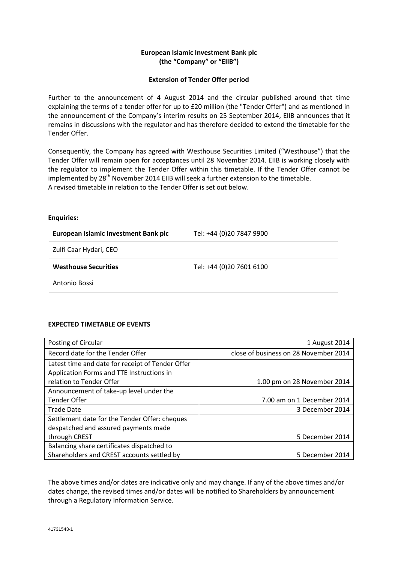## **European Islamic Investment Bank plc (the "Company" or "EIIB")**

## **Extension of Tender Offer period**

Further to the announcement of 4 August 2014 and the circular published around that time explaining the terms of a tender offer for up to £20 million (the "Tender Offer") and as mentioned in the announcement of the Company's interim results on 25 September 2014, EIIB announces that it remains in discussions with the regulator and has therefore decided to extend the timetable for the Tender Offer.

Consequently, the Company has agreed with Westhouse Securities Limited ("Westhouse") that the Tender Offer will remain open for acceptances until 28 November 2014. EIIB is working closely with the regulator to implement the Tender Offer within this timetable. If the Tender Offer cannot be implemented by  $28<sup>th</sup>$  November 2014 EIIB will seek a further extension to the timetable. A revised timetable in relation to the Tender Offer is set out below.

## **Enquiries:**

| European Islamic Investment Bank plc | Tel: +44 (0)20 7847 9900 |
|--------------------------------------|--------------------------|
| Zulfi Caar Hydari, CEO               |                          |
| <b>Westhouse Securities</b>          | Tel: +44 (0)20 7601 6100 |
| Antonio Bossi                        |                          |

## **EXPECTED TIMETABLE OF EVENTS**

| Posting of Circular                              | 1 August 2014                         |
|--------------------------------------------------|---------------------------------------|
| Record date for the Tender Offer                 | close of business on 28 November 2014 |
| Latest time and date for receipt of Tender Offer |                                       |
| Application Forms and TTE Instructions in        |                                       |
| relation to Tender Offer                         | 1.00 pm on 28 November 2014           |
| Announcement of take-up level under the          |                                       |
| <b>Tender Offer</b>                              | 7.00 am on 1 December 2014            |
| <b>Trade Date</b>                                | 3 December 2014                       |
| Settlement date for the Tender Offer: cheques    |                                       |
| despatched and assured payments made             |                                       |
| through CREST                                    | 5 December 2014                       |
| Balancing share certificates dispatched to       |                                       |
| Shareholders and CREST accounts settled by       | 5 December 2014                       |

The above times and/or dates are indicative only and may change. If any of the above times and/or dates change, the revised times and/or dates will be notified to Shareholders by announcement through a Regulatory Information Service.